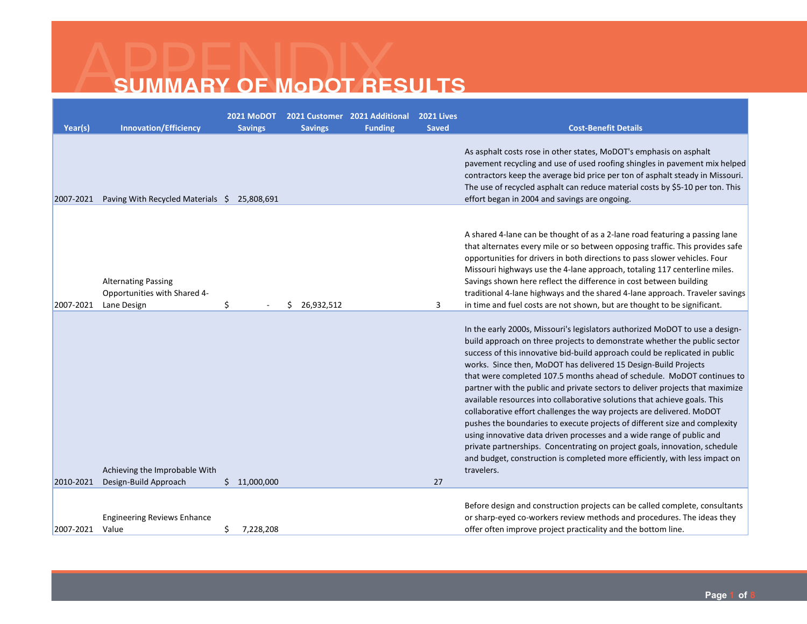| Year(s)   | <b>Innovation/Efficiency</b>                                              | <b>2021 MoDOT</b><br><b>Savings</b> | <b>Savings</b>   | 2021 Customer 2021 Additional<br><b>Funding</b> | <b>2021 Lives</b><br><b>Saved</b> | <b>Cost-Benefit Details</b>                                                                                                                                                                                                                                                                                                                                                                                                                                                                                                                                                                                                                                                                                                                                                                                                                                                                                                                                    |
|-----------|---------------------------------------------------------------------------|-------------------------------------|------------------|-------------------------------------------------|-----------------------------------|----------------------------------------------------------------------------------------------------------------------------------------------------------------------------------------------------------------------------------------------------------------------------------------------------------------------------------------------------------------------------------------------------------------------------------------------------------------------------------------------------------------------------------------------------------------------------------------------------------------------------------------------------------------------------------------------------------------------------------------------------------------------------------------------------------------------------------------------------------------------------------------------------------------------------------------------------------------|
| 2007-2021 | Paving With Recycled Materials \$ 25,808,691                              |                                     |                  |                                                 |                                   | As asphalt costs rose in other states, MoDOT's emphasis on asphalt<br>pavement recycling and use of used roofing shingles in pavement mix helped<br>contractors keep the average bid price per ton of asphalt steady in Missouri.<br>The use of recycled asphalt can reduce material costs by \$5-10 per ton. This<br>effort began in 2004 and savings are ongoing.                                                                                                                                                                                                                                                                                                                                                                                                                                                                                                                                                                                            |
| 2007-2021 | <b>Alternating Passing</b><br>Opportunities with Shared 4-<br>Lane Design | \$                                  | 26,932,512<br>Ŝ. |                                                 | 3                                 | A shared 4-lane can be thought of as a 2-lane road featuring a passing lane<br>that alternates every mile or so between opposing traffic. This provides safe<br>opportunities for drivers in both directions to pass slower vehicles. Four<br>Missouri highways use the 4-lane approach, totaling 117 centerline miles.<br>Savings shown here reflect the difference in cost between building<br>traditional 4-lane highways and the shared 4-lane approach. Traveler savings<br>in time and fuel costs are not shown, but are thought to be significant.                                                                                                                                                                                                                                                                                                                                                                                                      |
| 2010-2021 | Achieving the Improbable With<br>Design-Build Approach                    | \$11,000,000                        |                  |                                                 | 27                                | In the early 2000s, Missouri's legislators authorized MoDOT to use a design-<br>build approach on three projects to demonstrate whether the public sector<br>success of this innovative bid-build approach could be replicated in public<br>works. Since then, MoDOT has delivered 15 Design-Build Projects<br>that were completed 107.5 months ahead of schedule. MoDOT continues to<br>partner with the public and private sectors to deliver projects that maximize<br>available resources into collaborative solutions that achieve goals. This<br>collaborative effort challenges the way projects are delivered. MoDOT<br>pushes the boundaries to execute projects of different size and complexity<br>using innovative data driven processes and a wide range of public and<br>private partnerships. Concentrating on project goals, innovation, schedule<br>and budget, construction is completed more efficiently, with less impact on<br>travelers. |
| 2007-2021 | <b>Engineering Reviews Enhance</b><br>Value                               | 7,228,208<br>\$                     |                  |                                                 |                                   | Before design and construction projects can be called complete, consultants<br>or sharp-eyed co-workers review methods and procedures. The ideas they<br>offer often improve project practicality and the bottom line.                                                                                                                                                                                                                                                                                                                                                                                                                                                                                                                                                                                                                                                                                                                                         |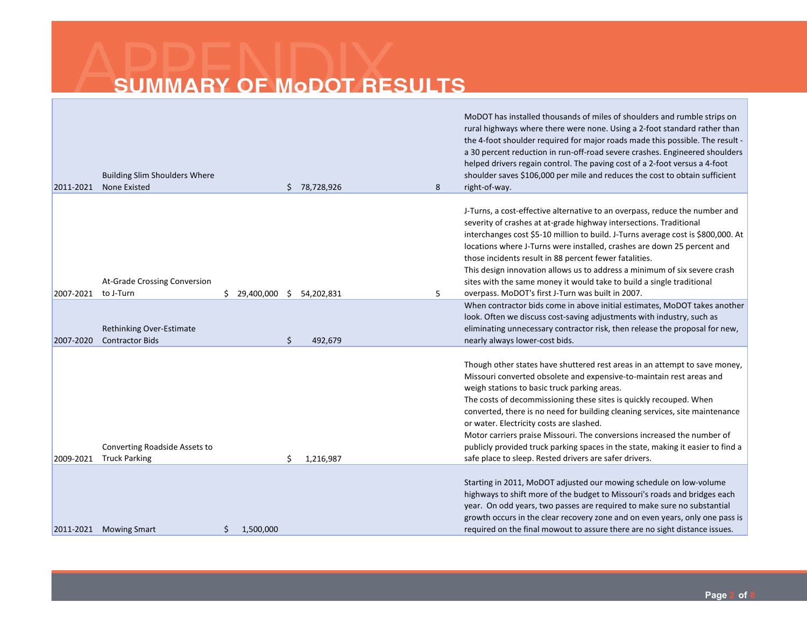|                                                                          |                       | MoDOT has installed thousands of miles of shoulders and rumble strips on<br>rural highways where there were none. Using a 2-foot standard rather than<br>the 4-foot shoulder required for major roads made this possible. The result -<br>a 30 percent reduction in run-off-road severe crashes. Engineered shoulders<br>helped drivers regain control. The paving cost of a 2-foot versus a 4-foot                                                                                                                                                                |
|--------------------------------------------------------------------------|-----------------------|--------------------------------------------------------------------------------------------------------------------------------------------------------------------------------------------------------------------------------------------------------------------------------------------------------------------------------------------------------------------------------------------------------------------------------------------------------------------------------------------------------------------------------------------------------------------|
| <b>Building Slim Shoulders Where</b><br><b>None Existed</b><br>2011-2021 | 78,728,926<br>8<br>S. | shoulder saves \$106,000 per mile and reduces the cost to obtain sufficient<br>right-of-way.                                                                                                                                                                                                                                                                                                                                                                                                                                                                       |
|                                                                          |                       |                                                                                                                                                                                                                                                                                                                                                                                                                                                                                                                                                                    |
| At-Grade Crossing Conversion                                             |                       | J-Turns, a cost-effective alternative to an overpass, reduce the number and<br>severity of crashes at at-grade highway intersections. Traditional<br>interchanges cost \$5-10 million to build. J-Turns average cost is \$800,000. At<br>locations where J-Turns were installed, crashes are down 25 percent and<br>those incidents result in 88 percent fewer fatalities.<br>This design innovation allows us to address a minimum of six severe crash<br>sites with the same money it would take to build a single traditional                                   |
| 2007-2021<br>\$29,400,000<br>to J-Turn                                   | 5<br>Ŝ.<br>54,202,831 | overpass. MoDOT's first J-Turn was built in 2007.                                                                                                                                                                                                                                                                                                                                                                                                                                                                                                                  |
| Rethinking Over-Estimate<br><b>Contractor Bids</b><br>2007-2020          | Ś.<br>492,679         | When contractor bids come in above initial estimates, MoDOT takes another<br>look. Often we discuss cost-saving adjustments with industry, such as<br>eliminating unnecessary contractor risk, then release the proposal for new,<br>nearly always lower-cost bids.                                                                                                                                                                                                                                                                                                |
| Converting Roadside Assets to                                            |                       | Though other states have shuttered rest areas in an attempt to save money,<br>Missouri converted obsolete and expensive-to-maintain rest areas and<br>weigh stations to basic truck parking areas.<br>The costs of decommissioning these sites is quickly recouped. When<br>converted, there is no need for building cleaning services, site maintenance<br>or water. Electricity costs are slashed.<br>Motor carriers praise Missouri. The conversions increased the number of<br>publicly provided truck parking spaces in the state, making it easier to find a |
| <b>Truck Parking</b><br>2009-2021                                        | Ś.<br>1,216,987       | safe place to sleep. Rested drivers are safer drivers.                                                                                                                                                                                                                                                                                                                                                                                                                                                                                                             |
|                                                                          |                       | Starting in 2011, MoDOT adjusted our mowing schedule on low-volume<br>highways to shift more of the budget to Missouri's roads and bridges each<br>year. On odd years, two passes are required to make sure no substantial<br>growth occurs in the clear recovery zone and on even years, only one pass is                                                                                                                                                                                                                                                         |
| <b>Mowing Smart</b><br>2011-2021<br>1,500,000<br>\$                      |                       | required on the final mowout to assure there are no sight distance issues.                                                                                                                                                                                                                                                                                                                                                                                                                                                                                         |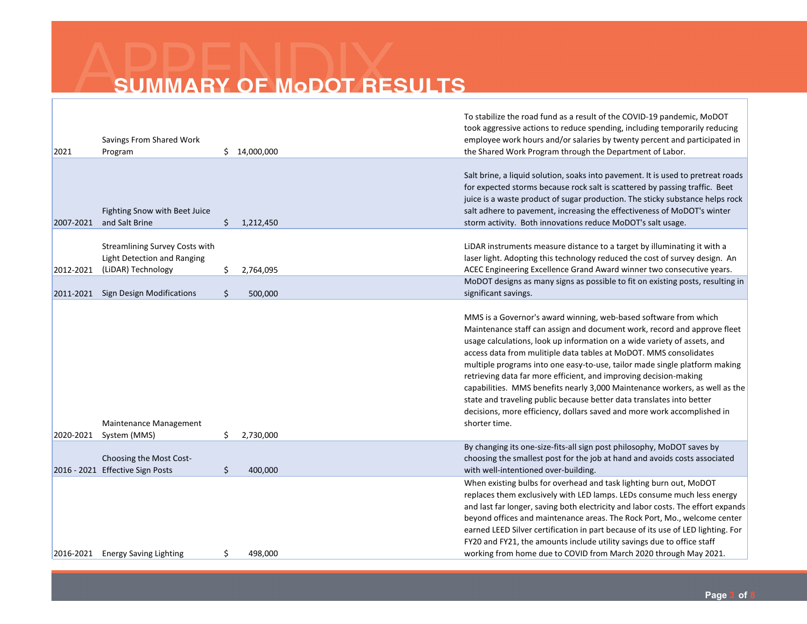| 2021      | Savings From Shared Work<br>Program                                                        | \$14,000,000    |         | To stabilize the road fund as a result of the COVID-19 pandemic, MoDOT<br>took aggressive actions to reduce spending, including temporarily reducing<br>employee work hours and/or salaries by twenty percent and participated in<br>the Shared Work Program through the Department of Labor.                                                                                                                                                                                                                                                                                                                                                                                                        |
|-----------|--------------------------------------------------------------------------------------------|-----------------|---------|------------------------------------------------------------------------------------------------------------------------------------------------------------------------------------------------------------------------------------------------------------------------------------------------------------------------------------------------------------------------------------------------------------------------------------------------------------------------------------------------------------------------------------------------------------------------------------------------------------------------------------------------------------------------------------------------------|
| 2007-2021 | Fighting Snow with Beet Juice<br>and Salt Brine                                            | \$<br>1,212,450 |         | Salt brine, a liquid solution, soaks into pavement. It is used to pretreat roads<br>for expected storms because rock salt is scattered by passing traffic. Beet<br>juice is a waste product of sugar production. The sticky substance helps rock<br>salt adhere to pavement, increasing the effectiveness of MoDOT's winter<br>storm activity. Both innovations reduce MoDOT's salt usage.                                                                                                                                                                                                                                                                                                           |
| 2012-2021 | <b>Streamlining Survey Costs with</b><br>Light Detection and Ranging<br>(LiDAR) Technology | \$<br>2,764,095 |         | LiDAR instruments measure distance to a target by illuminating it with a<br>laser light. Adopting this technology reduced the cost of survey design. An<br>ACEC Engineering Excellence Grand Award winner two consecutive years.                                                                                                                                                                                                                                                                                                                                                                                                                                                                     |
|           | 2011-2021 Sign Design Modifications                                                        | \$              | 500,000 | MoDOT designs as many signs as possible to fit on existing posts, resulting in<br>significant savings.                                                                                                                                                                                                                                                                                                                                                                                                                                                                                                                                                                                               |
| 2020-2021 | Maintenance Management<br>System (MMS)                                                     | 2,730,000<br>\$ |         | MMS is a Governor's award winning, web-based software from which<br>Maintenance staff can assign and document work, record and approve fleet<br>usage calculations, look up information on a wide variety of assets, and<br>access data from mulitiple data tables at MoDOT. MMS consolidates<br>multiple programs into one easy-to-use, tailor made single platform making<br>retrieving data far more efficient, and improving decision-making<br>capabilities. MMS benefits nearly 3,000 Maintenance workers, as well as the<br>state and traveling public because better data translates into better<br>decisions, more efficiency, dollars saved and more work accomplished in<br>shorter time. |
|           | Choosing the Most Cost-<br>2016 - 2021 Effective Sign Posts                                | \$              | 400,000 | By changing its one-size-fits-all sign post philosophy, MoDOT saves by<br>choosing the smallest post for the job at hand and avoids costs associated<br>with well-intentioned over-building.                                                                                                                                                                                                                                                                                                                                                                                                                                                                                                         |
| 2016-2021 | <b>Energy Saving Lighting</b>                                                              | \$              | 498,000 | When existing bulbs for overhead and task lighting burn out, MoDOT<br>replaces them exclusively with LED lamps. LEDs consume much less energy<br>and last far longer, saving both electricity and labor costs. The effort expands<br>beyond offices and maintenance areas. The Rock Port, Mo., welcome center<br>earned LEED Silver certification in part because of its use of LED lighting. For<br>FY20 and FY21, the amounts include utility savings due to office staff<br>working from home due to COVID from March 2020 through May 2021.                                                                                                                                                      |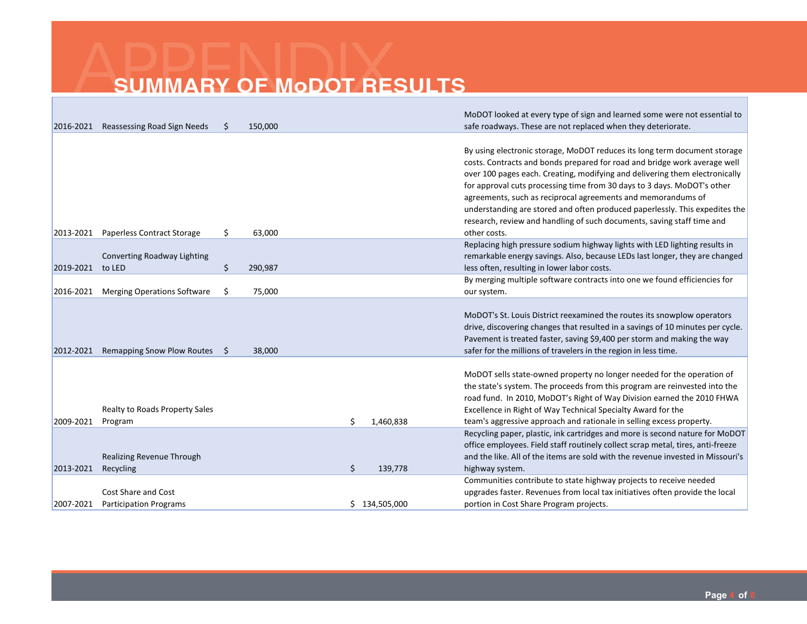|           |                                        |     |         |    |               | MoDOT looked at every type of sign and learned some were not essential to                                                                                                                                                                                                                                                                                                                                                                                                                                                                                 |
|-----------|----------------------------------------|-----|---------|----|---------------|-----------------------------------------------------------------------------------------------------------------------------------------------------------------------------------------------------------------------------------------------------------------------------------------------------------------------------------------------------------------------------------------------------------------------------------------------------------------------------------------------------------------------------------------------------------|
| 2016-2021 | Reassessing Road Sign Needs            |     | 150,000 |    |               | safe roadways. These are not replaced when they deteriorate.                                                                                                                                                                                                                                                                                                                                                                                                                                                                                              |
| 2013-2021 | <b>Paperless Contract Storage</b>      | \$. | 63,000  |    |               | By using electronic storage, MoDOT reduces its long term document storage<br>costs. Contracts and bonds prepared for road and bridge work average well<br>over 100 pages each. Creating, modifying and delivering them electronically<br>for approval cuts processing time from 30 days to 3 days. MoDOT's other<br>agreements, such as reciprocal agreements and memorandums of<br>understanding are stored and often produced paperlessly. This expedites the<br>research, review and handling of such documents, saving staff time and<br>other costs. |
|           |                                        |     |         |    |               | Replacing high pressure sodium highway lights with LED lighting results in                                                                                                                                                                                                                                                                                                                                                                                                                                                                                |
|           | Converting Roadway Lighting            |     |         |    |               | remarkable energy savings. Also, because LEDs last longer, they are changed                                                                                                                                                                                                                                                                                                                                                                                                                                                                               |
| 2019-2021 | to LED                                 | \$  | 290,987 |    |               | less often, resulting in lower labor costs.                                                                                                                                                                                                                                                                                                                                                                                                                                                                                                               |
|           |                                        |     |         |    |               | By merging multiple software contracts into one we found efficiencies for                                                                                                                                                                                                                                                                                                                                                                                                                                                                                 |
| 2016-2021 | <b>Merging Operations Software</b>     | \$  | 75,000  |    |               | our system.                                                                                                                                                                                                                                                                                                                                                                                                                                                                                                                                               |
| 2012-2021 | Remapping Snow Plow Routes             | S.  | 38,000  |    |               | MoDOT's St. Louis District reexamined the routes its snowplow operators<br>drive, discovering changes that resulted in a savings of 10 minutes per cycle.<br>Pavement is treated faster, saving \$9,400 per storm and making the way<br>safer for the millions of travelers in the region in less time.                                                                                                                                                                                                                                                   |
|           | <b>Realty to Roads Property Sales</b>  |     |         |    |               | MoDOT sells state-owned property no longer needed for the operation of<br>the state's system. The proceeds from this program are reinvested into the<br>road fund. In 2010, MoDOT's Right of Way Division earned the 2010 FHWA<br>Excellence in Right of Way Technical Specialty Award for the                                                                                                                                                                                                                                                            |
| 2009-2021 | Program                                |     |         | Ś. | 1,460,838     | team's aggressive approach and rationale in selling excess property.                                                                                                                                                                                                                                                                                                                                                                                                                                                                                      |
| 2013-2021 | Realizing Revenue Through<br>Recycling |     |         | \$ | 139,778       | Recycling paper, plastic, ink cartridges and more is second nature for MoDOT<br>office employees. Field staff routinely collect scrap metal, tires, anti-freeze<br>and the like. All of the items are sold with the revenue invested in Missouri's<br>highway system.                                                                                                                                                                                                                                                                                     |
|           |                                        |     |         |    |               | Communities contribute to state highway projects to receive needed                                                                                                                                                                                                                                                                                                                                                                                                                                                                                        |
|           | Cost Share and Cost                    |     |         |    |               | upgrades faster. Revenues from local tax initiatives often provide the local                                                                                                                                                                                                                                                                                                                                                                                                                                                                              |
| 2007-2021 | <b>Participation Programs</b>          |     |         |    | \$134,505,000 | portion in Cost Share Program projects.                                                                                                                                                                                                                                                                                                                                                                                                                                                                                                                   |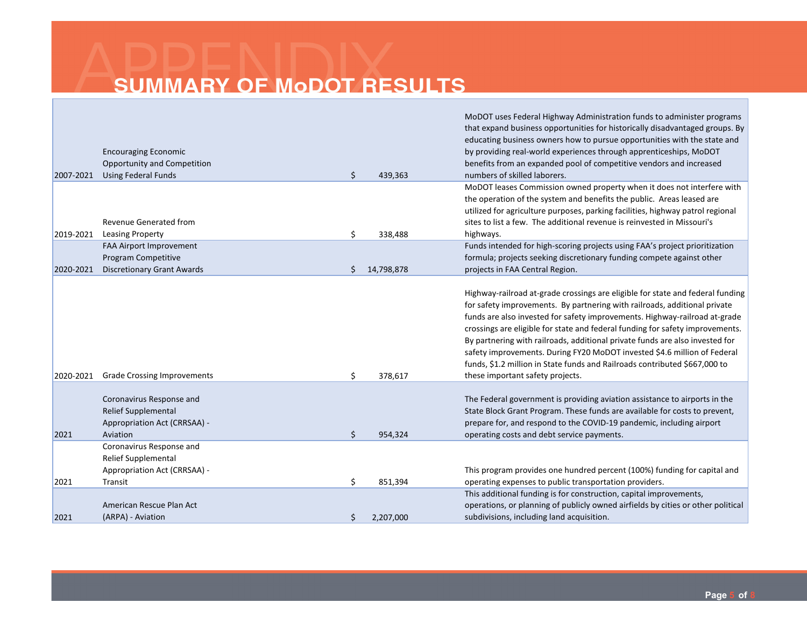| 2007-2021 | <b>Encouraging Economic</b><br>Opportunity and Competition<br><b>Using Federal Funds</b>           | \$ | 439,363    | MoDOT uses Federal Highway Administration funds to administer programs<br>that expand business opportunities for historically disadvantaged groups. By<br>educating business owners how to pursue opportunities with the state and<br>by providing real-world experiences through apprenticeships, MoDOT<br>benefits from an expanded pool of competitive vendors and increased<br>numbers of skilled laborers.                                                                                                                                                                                          |
|-----------|----------------------------------------------------------------------------------------------------|----|------------|----------------------------------------------------------------------------------------------------------------------------------------------------------------------------------------------------------------------------------------------------------------------------------------------------------------------------------------------------------------------------------------------------------------------------------------------------------------------------------------------------------------------------------------------------------------------------------------------------------|
| 2019-2021 | Revenue Generated from<br><b>Leasing Property</b>                                                  | \$ | 338,488    | MoDOT leases Commission owned property when it does not interfere with<br>the operation of the system and benefits the public. Areas leased are<br>utilized for agriculture purposes, parking facilities, highway patrol regional<br>sites to list a few. The additional revenue is reinvested in Missouri's<br>highways.                                                                                                                                                                                                                                                                                |
| 2020-2021 | FAA Airport Improvement<br>Program Competitive<br><b>Discretionary Grant Awards</b>                | Ś. | 14,798,878 | Funds intended for high-scoring projects using FAA's project prioritization<br>formula; projects seeking discretionary funding compete against other<br>projects in FAA Central Region.                                                                                                                                                                                                                                                                                                                                                                                                                  |
| 2020-2021 | <b>Grade Crossing Improvements</b>                                                                 | \$ | 378,617    | Highway-railroad at-grade crossings are eligible for state and federal funding<br>for safety improvements. By partnering with railroads, additional private<br>funds are also invested for safety improvements. Highway-railroad at-grade<br>crossings are eligible for state and federal funding for safety improvements.<br>By partnering with railroads, additional private funds are also invested for<br>safety improvements. During FY20 MoDOT invested \$4.6 million of Federal<br>funds, \$1.2 million in State funds and Railroads contributed \$667,000 to<br>these important safety projects. |
| 2021      | Coronavirus Response and<br><b>Relief Supplemental</b><br>Appropriation Act (CRRSAA) -<br>Aviation | \$ | 954,324    | The Federal government is providing aviation assistance to airports in the<br>State Block Grant Program. These funds are available for costs to prevent,<br>prepare for, and respond to the COVID-19 pandemic, including airport<br>operating costs and debt service payments.                                                                                                                                                                                                                                                                                                                           |
| 2021      | Coronavirus Response and<br><b>Relief Supplemental</b><br>Appropriation Act (CRRSAA) -<br>Transit  | \$ | 851,394    | This program provides one hundred percent (100%) funding for capital and<br>operating expenses to public transportation providers.                                                                                                                                                                                                                                                                                                                                                                                                                                                                       |
| 2021      | American Rescue Plan Act<br>(ARPA) - Aviation                                                      | \$ | 2,207,000  | This additional funding is for construction, capital improvements,<br>operations, or planning of publicly owned airfields by cities or other political<br>subdivisions, including land acquisition.                                                                                                                                                                                                                                                                                                                                                                                                      |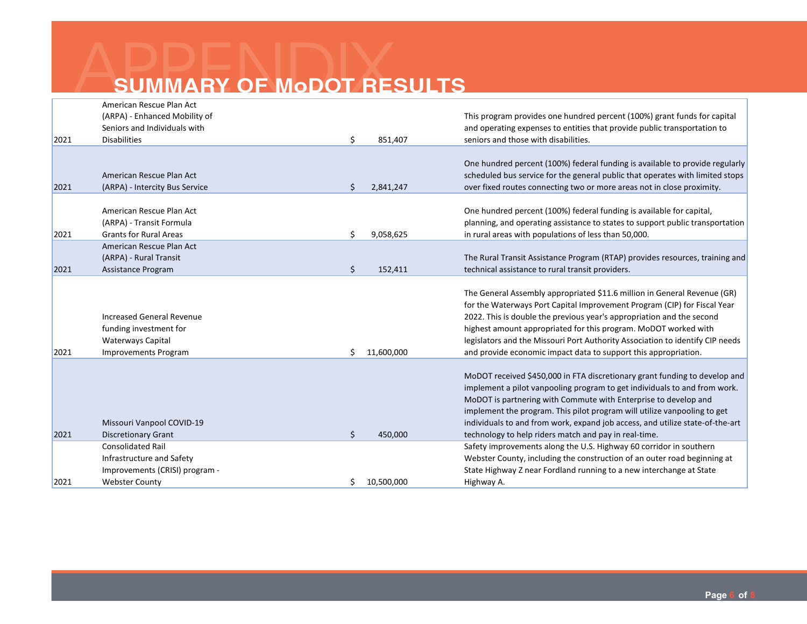| 2021 | <b>Webster County</b>                                                                                            | \$ | 10,500,000 | Highway A.                                                                                                                                                                                                                                                                                                                                                                                                                                                 |
|------|------------------------------------------------------------------------------------------------------------------|----|------------|------------------------------------------------------------------------------------------------------------------------------------------------------------------------------------------------------------------------------------------------------------------------------------------------------------------------------------------------------------------------------------------------------------------------------------------------------------|
|      | Improvements (CRISI) program -                                                                                   |    |            | State Highway Z near Fordland running to a new interchange at State                                                                                                                                                                                                                                                                                                                                                                                        |
|      | Infrastructure and Safety                                                                                        |    |            | Webster County, including the construction of an outer road beginning at                                                                                                                                                                                                                                                                                                                                                                                   |
|      | <b>Consolidated Rail</b>                                                                                         |    |            | Safety improvements along the U.S. Highway 60 corridor in southern                                                                                                                                                                                                                                                                                                                                                                                         |
| 2021 | <b>Discretionary Grant</b>                                                                                       | \$ | 450,000    | technology to help riders match and pay in real-time.                                                                                                                                                                                                                                                                                                                                                                                                      |
| 2021 | <b>Improvements Program</b><br>Missouri Vanpool COVID-19                                                         | Ś. | 11,600,000 | and provide economic impact data to support this appropriation.<br>MoDOT received \$450,000 in FTA discretionary grant funding to develop and<br>implement a pilot vanpooling program to get individuals to and from work.<br>MoDOT is partnering with Commute with Enterprise to develop and<br>implement the program. This pilot program will utilize vanpooling to get<br>individuals to and from work, expand job access, and utilize state-of-the-art |
|      | <b>Increased General Revenue</b><br>funding investment for<br>Waterways Capital                                  |    |            | The General Assembly appropriated \$11.6 million in General Revenue (GR)<br>for the Waterways Port Capital Improvement Program (CIP) for Fiscal Year<br>2022. This is double the previous year's appropriation and the second<br>highest amount appropriated for this program. MoDOT worked with<br>legislators and the Missouri Port Authority Association to identify CIP needs                                                                          |
| 2021 | American Rescue Plan Act<br>(ARPA) - Rural Transit<br>Assistance Program                                         | \$ | 152,411    | The Rural Transit Assistance Program (RTAP) provides resources, training and<br>technical assistance to rural transit providers.                                                                                                                                                                                                                                                                                                                           |
| 2021 | American Rescue Plan Act<br>(ARPA) - Transit Formula<br><b>Grants for Rural Areas</b>                            | Ś. | 9,058,625  | One hundred percent (100%) federal funding is available for capital,<br>planning, and operating assistance to states to support public transportation<br>in rural areas with populations of less than 50,000.                                                                                                                                                                                                                                              |
| 2021 | American Rescue Plan Act<br>(ARPA) - Intercity Bus Service                                                       | \$ | 2,841,247  | One hundred percent (100%) federal funding is available to provide regularly<br>scheduled bus service for the general public that operates with limited stops<br>over fixed routes connecting two or more areas not in close proximity.                                                                                                                                                                                                                    |
| 2021 | American Rescue Plan Act<br>(ARPA) - Enhanced Mobility of<br>Seniors and Individuals with<br><b>Disabilities</b> | \$ | 851,407    | This program provides one hundred percent (100%) grant funds for capital<br>and operating expenses to entities that provide public transportation to<br>seniors and those with disabilities.                                                                                                                                                                                                                                                               |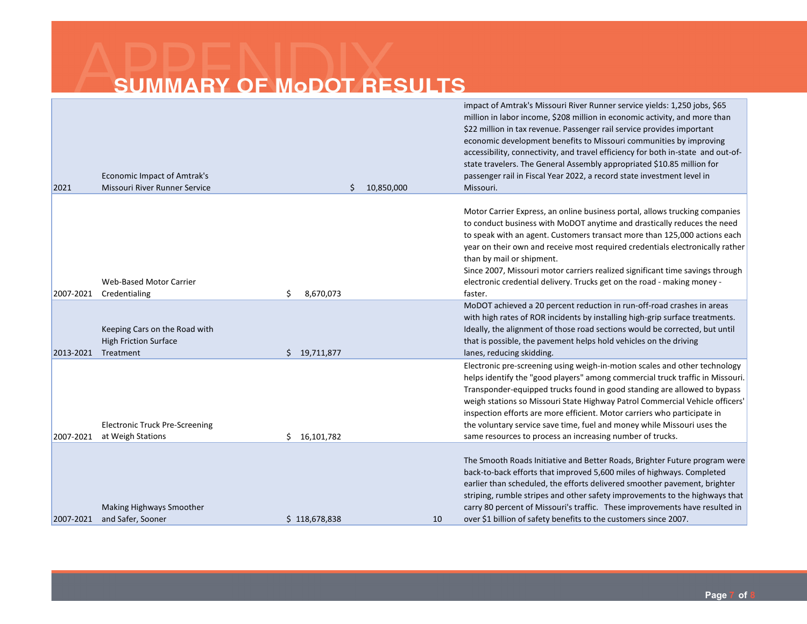| 2021      | <b>Economic Impact of Amtrak's</b><br>Missouri River Runner Service        |                  | Ś. | 10,850,000 | impact of Amtrak's Missouri River Runner service yields: 1,250 jobs, \$65<br>million in labor income, \$208 million in economic activity, and more than<br>\$22 million in tax revenue. Passenger rail service provides important<br>economic development benefits to Missouri communities by improving<br>accessibility, connectivity, and travel efficiency for both in-state and out-of-<br>state travelers. The General Assembly appropriated \$10.85 million for<br>passenger rail in Fiscal Year 2022, a record state investment level in<br>Missouri. |
|-----------|----------------------------------------------------------------------------|------------------|----|------------|--------------------------------------------------------------------------------------------------------------------------------------------------------------------------------------------------------------------------------------------------------------------------------------------------------------------------------------------------------------------------------------------------------------------------------------------------------------------------------------------------------------------------------------------------------------|
| 2007-2021 | <b>Web-Based Motor Carrier</b><br>Credentialing                            | \$<br>8,670,073  |    |            | Motor Carrier Express, an online business portal, allows trucking companies<br>to conduct business with MoDOT anytime and drastically reduces the need<br>to speak with an agent. Customers transact more than 125,000 actions each<br>year on their own and receive most required credentials electronically rather<br>than by mail or shipment.<br>Since 2007, Missouri motor carriers realized significant time savings through<br>electronic credential delivery. Trucks get on the road - making money -<br>faster.                                     |
| 2013-2021 | Keeping Cars on the Road with<br><b>High Friction Surface</b><br>Treatment | 19,711,877<br>Ś. |    |            | MoDOT achieved a 20 percent reduction in run-off-road crashes in areas<br>with high rates of ROR incidents by installing high-grip surface treatments.<br>Ideally, the alignment of those road sections would be corrected, but until<br>that is possible, the pavement helps hold vehicles on the driving<br>lanes, reducing skidding.                                                                                                                                                                                                                      |
| 2007-2021 | <b>Electronic Truck Pre-Screening</b><br>at Weigh Stations                 | \$16,101,782     |    |            | Electronic pre-screening using weigh-in-motion scales and other technology<br>helps identify the "good players" among commercial truck traffic in Missouri.<br>Transponder-equipped trucks found in good standing are allowed to bypass<br>weigh stations so Missouri State Highway Patrol Commercial Vehicle officers'<br>inspection efforts are more efficient. Motor carriers who participate in<br>the voluntary service save time, fuel and money while Missouri uses the<br>same resources to process an increasing number of trucks.                  |
| 2007-2021 | Making Highways Smoother<br>and Safer, Sooner                              | \$118,678,838    |    | 10         | The Smooth Roads Initiative and Better Roads, Brighter Future program were<br>back-to-back efforts that improved 5,600 miles of highways. Completed<br>earlier than scheduled, the efforts delivered smoother pavement, brighter<br>striping, rumble stripes and other safety improvements to the highways that<br>carry 80 percent of Missouri's traffic. These improvements have resulted in<br>over \$1 billion of safety benefits to the customers since 2007.                                                                                           |